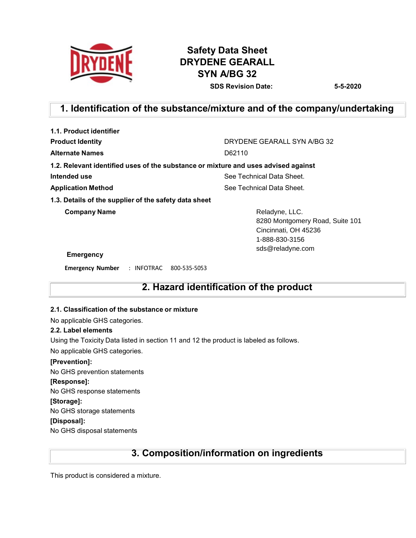

# **Safety Data Sheet DRYDENE GEARALL SYN A/BG 32 SDS Revision Date: 5-5-2020**

# **1. Identification of the substance/mixture and of the company/undertaking**

| 1.1. Product identifier                                                            |                                                                                                                 |  |  |
|------------------------------------------------------------------------------------|-----------------------------------------------------------------------------------------------------------------|--|--|
| <b>Product Identity</b>                                                            | DRYDENE GEARALL SYN A/BG 32                                                                                     |  |  |
| <b>Alternate Names</b>                                                             | D62110                                                                                                          |  |  |
| 1.2. Relevant identified uses of the substance or mixture and uses advised against |                                                                                                                 |  |  |
| Intended use                                                                       | See Technical Data Sheet.                                                                                       |  |  |
| <b>Application Method</b>                                                          | See Technical Data Sheet.                                                                                       |  |  |
| 1.3. Details of the supplier of the safety data sheet                              |                                                                                                                 |  |  |
| <b>Company Name</b>                                                                | Reladyne, LLC.<br>8280 Montgomery Road, Suite 101<br>Cincinnati, OH 45236<br>1-888-830-3156<br>sds@reladyne.com |  |  |
| Emergency                                                                          |                                                                                                                 |  |  |
|                                                                                    |                                                                                                                 |  |  |

**Emergency Number** : INFOTRAC 800-535-5053

# **2. Hazard identification of the product**

#### **2.1. Classification of the substance or mixture**

No applicable GHS categories.

#### **2.2. Label elements**

Using the Toxicity Data listed in section 11 and 12 the product is labeled as follows.

No applicable GHS categories.

#### **[Prevention]:**

No GHS prevention statements

#### **[Response]:**

No GHS response statements

# **[Storage]:**

No GHS storage statements

**[Disposal]:**

No GHS disposal statements

# **3. Composition/information on ingredients**

This product is considered a mixture.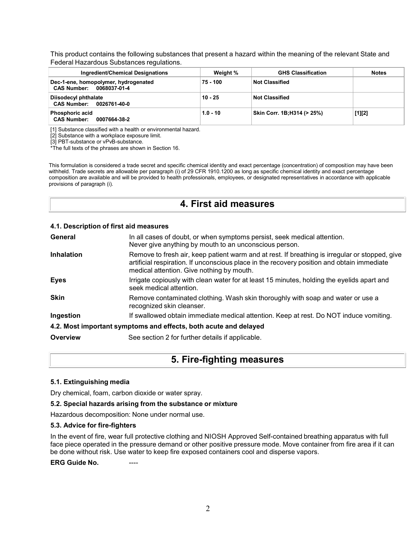This product contains the following substances that present a hazard within the meaning of the relevant State and Federal Hazardous Substances regulations.

| <b>Ingredient/Chemical Designations</b>                          | Weight %   | <b>GHS Classification</b>   | <b>Notes</b> |
|------------------------------------------------------------------|------------|-----------------------------|--------------|
| Dec-1-ene, homopolymer, hydrogenated<br>CAS Number: 0068037-01-4 | 75 - 100   | <b>Not Classified</b>       |              |
| Diisodecyl phthalate<br>CAS Number: 0026761-40-0                 | $10 - 25$  | <b>Not Classified</b>       |              |
| <b>Phosphoric acid</b><br><b>CAS Number:</b><br>0007664-38-2     | $1.0 - 10$ | Skin Corr. 1B; H314 (> 25%) | $[1][2]$     |

[1] Substance classified with a health or environmental hazard.

[2] Substance with a workplace exposure limit.

[3] PBT-substance or vPvB-substance.

\*The full texts of the phrases are shown in Section 16.

This formulation is considered a trade secret and specific chemical identity and exact percentage (concentration) of composition may have been withheld. Trade secrets are allowable per paragraph (i) of 29 CFR 1910.1200 as long as specific chemical identity and exact percentage composition are available and will be provided to health professionals, employees, or designated representatives in accordance with applicable provisions of paragraph (i).

# **4. First aid measures**

#### **4.1. Description of first aid measures**

| General           | In all cases of doubt, or when symptoms persist, seek medical attention.<br>Never give anything by mouth to an unconscious person.                                                                                                        |
|-------------------|-------------------------------------------------------------------------------------------------------------------------------------------------------------------------------------------------------------------------------------------|
| <b>Inhalation</b> | Remove to fresh air, keep patient warm and at rest. If breathing is irregular or stopped, give<br>artificial respiration. If unconscious place in the recovery position and obtain immediate<br>medical attention. Give nothing by mouth. |
| <b>Eyes</b>       | Irrigate copiously with clean water for at least 15 minutes, holding the eyelids apart and<br>seek medical attention.                                                                                                                     |
| <b>Skin</b>       | Remove contaminated clothing. Wash skin thoroughly with soap and water or use a<br>recognized skin cleanser.                                                                                                                              |
| Ingestion         | If swallowed obtain immediate medical attention. Keep at rest. Do NOT induce vomiting.                                                                                                                                                    |
|                   | 4.2. Most important symptoms and effects, both acute and delayed                                                                                                                                                                          |
| Overview          | See section 2 for further details if applicable.                                                                                                                                                                                          |

# **5. Fire-fighting measures**

#### **5.1. Extinguishing media**

Dry chemical, foam, carbon dioxide or water spray.

#### **5.2. Special hazards arising from the substance or mixture**

Hazardous decomposition: None under normal use.

#### **5.3. Advice for fire-fighters**

In the event of fire, wear full protective clothing and NIOSH Approved Self-contained breathing apparatus with full face piece operated in the pressure demand or other positive pressure mode. Move container from fire area if it can be done without risk. Use water to keep fire exposed containers cool and disperse vapors.

**ERG** Guide No.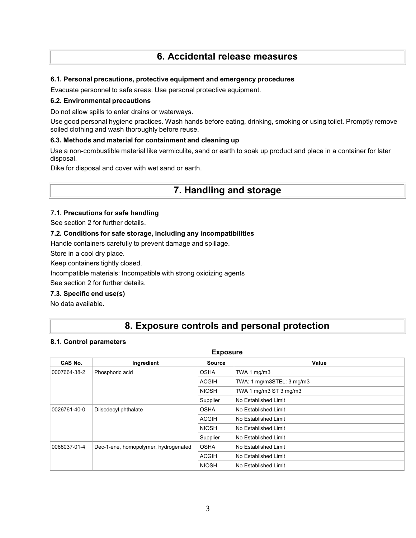# **6. Accidental release measures**

### **6.1. Personal precautions, protective equipment and emergency procedures**

Evacuate personnel to safe areas. Use personal protective equipment.

### **6.2. Environmental precautions**

Do not allow spills to enter drains or waterways.

Use good personal hygiene practices. Wash hands before eating, drinking, smoking or using toilet. Promptly remove soiled clothing and wash thoroughly before reuse.

### **6.3. Methods and material for containment and cleaning up**

Use a non-combustible material like vermiculite, sand or earth to soak up product and place in a container for later disposal.

Dike for disposal and cover with wet sand or earth.

# **7. Handling and storage**

### **7.1. Precautions for safe handling**

See section 2 for further details.

### **7.2. Conditions for safe storage, including any incompatibilities**

Handle containers carefully to prevent damage and spillage.

Store in a cool dry place.

Keep containers tightly closed.

Incompatible materials: Incompatible with strong oxidizing agents

See section 2 for further details.

### **7.3. Specific end use(s)**

No data available.

# **8. Exposure controls and personal protection**

#### **8.1. Control parameters**

| <b>Exposure</b>                                      |             |                      |                           |  |
|------------------------------------------------------|-------------|----------------------|---------------------------|--|
| CAS No.                                              | Ingredient  | <b>Source</b>        | Value                     |  |
| Phosphoric acid<br>0007664-38-2                      |             | <b>OSHA</b>          | TWA 1 mg/m3               |  |
|                                                      |             | <b>ACGIH</b>         | TWA: 1 mg/m3STEL: 3 mg/m3 |  |
|                                                      |             | <b>NIOSH</b>         | TWA 1 mg/m3 ST 3 mg/m3    |  |
|                                                      |             | Supplier             | No Established Limit      |  |
| Diisodecyl phthalate<br>0026761-40-0                 | <b>OSHA</b> | No Established Limit |                           |  |
|                                                      |             | <b>ACGIH</b>         | No Established Limit      |  |
|                                                      |             | <b>NIOSH</b>         | No Established Limit      |  |
|                                                      | Supplier    | No Established Limit |                           |  |
| Dec-1-ene, homopolymer, hydrogenated<br>0068037-01-4 | <b>OSHA</b> | No Established Limit |                           |  |
|                                                      |             | <b>ACGIH</b>         | No Established Limit      |  |
|                                                      |             | <b>NIOSH</b>         | No Established Limit      |  |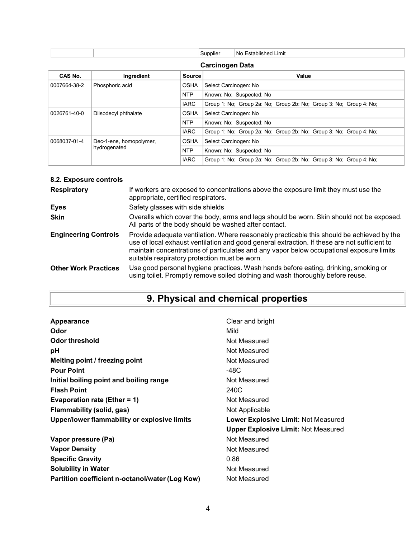| Supplier | $\cdot$ .<br>l No<br>∟imit<br>'∹stablished |
|----------|--------------------------------------------|
|          |                                            |

# **Carcinogen Data**

| CAS No.      | Ingredient              | <b>Source</b> | Value                                                              |  |  |  |
|--------------|-------------------------|---------------|--------------------------------------------------------------------|--|--|--|
| 0007664-38-2 | Phosphoric acid         | <b>OSHA</b>   | Select Carcinogen: No                                              |  |  |  |
|              |                         | <b>NTP</b>    | Known: No: Suspected: No                                           |  |  |  |
|              |                         | <b>IARC</b>   | Group 1: No; Group 2a: No; Group 2b: No; Group 3: No; Group 4: No; |  |  |  |
| 0026761-40-0 | Diisodecyl phthalate    | <b>OSHA</b>   | Select Carcinogen: No                                              |  |  |  |
|              |                         | <b>NTP</b>    | Known: No: Suspected: No                                           |  |  |  |
|              |                         | <b>IARC</b>   | Group 1: No; Group 2a: No; Group 2b: No; Group 3: No; Group 4: No; |  |  |  |
| 0068037-01-4 | Dec-1-ene, homopolymer, | <b>OSHA</b>   | Select Carcinogen: No                                              |  |  |  |
|              | hydrogenated            | <b>NTP</b>    | Known: No: Suspected: No                                           |  |  |  |
|              |                         | <b>IARC</b>   | Group 1: No: Group 2a: No: Group 2b: No: Group 3: No: Group 4: No: |  |  |  |

# **8.2. Exposure controls**

| <b>Respiratory</b>          | If workers are exposed to concentrations above the exposure limit they must use the<br>appropriate, certified respirators.                                                                                                                                                                                                             |
|-----------------------------|----------------------------------------------------------------------------------------------------------------------------------------------------------------------------------------------------------------------------------------------------------------------------------------------------------------------------------------|
| Eyes                        | Safety glasses with side shields                                                                                                                                                                                                                                                                                                       |
| <b>Skin</b>                 | Overalls which cover the body, arms and legs should be worn. Skin should not be exposed.<br>All parts of the body should be washed after contact.                                                                                                                                                                                      |
| <b>Engineering Controls</b> | Provide adequate ventilation. Where reasonably practicable this should be achieved by the<br>use of local exhaust ventilation and good general extraction. If these are not sufficient to<br>maintain concentrations of particulates and any vapor below occupational exposure limits<br>suitable respiratory protection must be worn. |
| <b>Other Work Practices</b> | Use good personal hygiene practices. Wash hands before eating, drinking, smoking or<br>using toilet. Promptly remove soiled clothing and wash thoroughly before reuse.                                                                                                                                                                 |

# **9. Physical and chemical properties**

| Clear and bright                           |
|--------------------------------------------|
|                                            |
| Mild                                       |
| Not Measured                               |
| Not Measured                               |
| Not Measured                               |
| -48C                                       |
| Not Measured                               |
| 240C                                       |
| Not Measured                               |
| Not Applicable                             |
| <b>Lower Explosive Limit: Not Measured</b> |
| <b>Upper Explosive Limit: Not Measured</b> |
| Not Measured                               |
| Not Measured                               |
| 0.86                                       |
| Not Measured                               |
| Not Measured                               |
|                                            |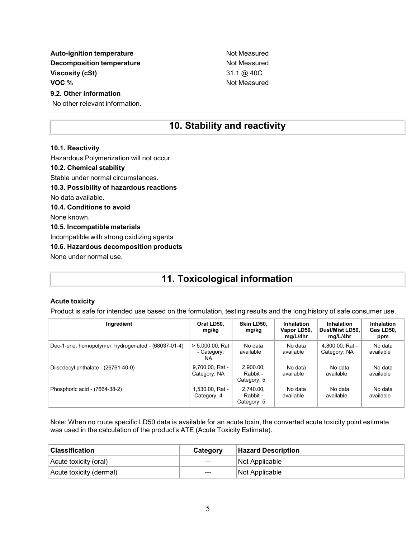**Auto-ignition temperature Not Measured Auto-ignition temperature Decomposition temperature** Not Measured **Viscosity (cSt)** 31.1 @ 40C **VOC** %

### **9.2. Other information**

No other relevant information.

# **10. Stability and reactivity**

#### **10.1. Reactivity**

Hazardous Polymerization will not occur.

### **10.2. Chemical stability**

Stable under normal circumstances.

**10.3. Possibility of hazardous reactions**

No data available.

### **10.4. Conditions to avoid**

None known.

#### **10.5. Incompatible materials**

Incompatible with strong oxidizing agents

### **10.6. Hazardous decomposition products**

None under normal use.

# **11. Toxicological information**

#### **Acute toxicity**

Product is safe for intended use based on the formulation, testing results and the long history of safe consumer use.

| Ingredient                                          | Oral LD50,<br>mg/kg                      | Skin LD50,<br>mg/kg                  | Inhalation<br>Vapor LD50,<br>mg/L/4hr | Inhalation<br>Dust/Mist LD50.<br>mg/L/4hr | Inhalation<br>Gas LD50,<br>ppm |
|-----------------------------------------------------|------------------------------------------|--------------------------------------|---------------------------------------|-------------------------------------------|--------------------------------|
| Dec-1-ene, homopolymer, hydrogenated - (68037-01-4) | $> 5.000.00$ . Rat<br>- Category:<br>NA. | No data<br>available                 | No data<br>available                  | 4,800.00, Rat -<br>Category: NA           | No data<br>available           |
| Diisodecyl phthalate - (26761-40-0)                 | 9.700.00, Rat -<br>Category: NA          | 2.900.00.<br>Rabbit -<br>Category: 5 | No data<br>available                  | No data<br>available                      | No data<br>available           |
| Phosphoric acid - (7664-38-2)                       | 1,530.00, Rat -<br>Category: 4           | 2,740.00,<br>Rabbit -<br>Category: 5 | No data<br>available                  | No data<br>available                      | No data<br>available           |

Note: When no route specific LD50 data is available for an acute toxin, the converted acute toxicity point estimate was used in the calculation of the product's ATE (Acute Toxicity Estimate).

| <b>Classification</b>   | Category | <b>Hazard Description</b> |
|-------------------------|----------|---------------------------|
| Acute toxicity (oral)   | $---$    | ∣Not Applicable⊹          |
| Acute toxicity (dermal) | $---$    | Not Applicable            |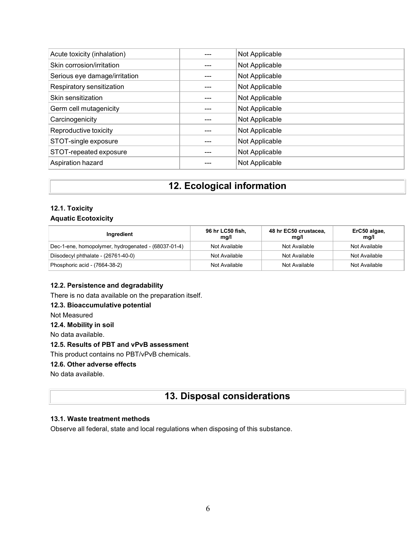| Acute toxicity (inhalation)   | Not Applicable |
|-------------------------------|----------------|
| Skin corrosion/irritation     | Not Applicable |
| Serious eye damage/irritation | Not Applicable |
| Respiratory sensitization     | Not Applicable |
| Skin sensitization            | Not Applicable |
| Germ cell mutagenicity        | Not Applicable |
| Carcinogenicity               | Not Applicable |
| Reproductive toxicity         | Not Applicable |
| STOT-single exposure          | Not Applicable |
| STOT-repeated exposure        | Not Applicable |
| Aspiration hazard             | Not Applicable |
|                               |                |

# **12. Ecological information**

### **12.1. Toxicity Aquatic Ecotoxicity**

| Ingredient                                          | 96 hr LC50 fish,<br>mg/l | 48 hr EC50 crustacea,<br>mq/l | ErC50 algae,<br>mg/l |
|-----------------------------------------------------|--------------------------|-------------------------------|----------------------|
| Dec-1-ene, homopolymer, hydrogenated - (68037-01-4) | Not Available            | Not Available                 | Not Available        |
| Diisodecyl phthalate - (26761-40-0)                 | Not Available            | Not Available                 | Not Available        |
| Phosphoric acid - (7664-38-2)                       | Not Available            | Not Available                 | Not Available        |

## **12.2. Persistence and degradability**

There is no data available on the preparation itself.

### **12.3. Bioaccumulative potential**

Not Measured

## **12.4. Mobility in soil**

No data available.

### **12.5. Results of PBT and vPvB assessment**

This product contains no PBT/vPvB chemicals.

### **12.6. Other adverse effects**

No data available.

# **13. Disposal considerations**

## **13.1. Waste treatment methods**

Observe all federal, state and local regulations when disposing of this substance.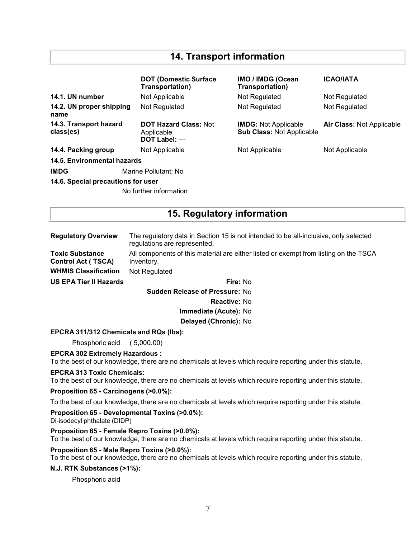# **14. Transport information**

|                                     | <b>DOT (Domestic Surface)</b><br>Transportation)             | <b>IMO / IMDG (Ocean</b><br>Transportation)                     | <b>ICAO/IATA</b>                 |  |
|-------------------------------------|--------------------------------------------------------------|-----------------------------------------------------------------|----------------------------------|--|
| 14.1. UN number                     | Not Applicable                                               | Not Regulated                                                   | Not Regulated                    |  |
| 14.2. UN proper shipping<br>name    | Not Regulated                                                | Not Regulated                                                   | Not Regulated                    |  |
| 14.3. Transport hazard<br>class(es) | <b>DOT Hazard Class: Not</b><br>Applicable<br>DOT Label: --- | <b>IMDG:</b> Not Applicable<br><b>Sub Class: Not Applicable</b> | <b>Air Class: Not Applicable</b> |  |
| 14.4. Packing group                 | Not Applicable                                               | Not Applicable                                                  | Not Applicable                   |  |
| 14.5. Environmental hazards         |                                                              |                                                                 |                                  |  |
| <b>IMDG</b>                         | Marine Pollutant: No                                         |                                                                 |                                  |  |
| 14.6. Special precautions for user  |                                                              |                                                                 |                                  |  |
|                                     | No further information                                       |                                                                 |                                  |  |

# **15. Regulatory information**

| <b>Regulatory Overview</b>                          | The regulatory data in Section 15 is not intended to be all-inclusive, only selected<br>regulations are represented. |  |  |
|-----------------------------------------------------|----------------------------------------------------------------------------------------------------------------------|--|--|
| <b>Toxic Substance</b><br><b>Control Act (TSCA)</b> | All components of this material are either listed or exempt from listing on the TSCA<br>Inventory.                   |  |  |
| <b>WHMIS Classification</b>                         | Not Regulated                                                                                                        |  |  |
| <b>US EPA Tier II Hazards</b>                       | Fire: No                                                                                                             |  |  |
|                                                     | <b>Sudden Release of Pressure: No</b>                                                                                |  |  |
|                                                     | <b>Reactive: No</b>                                                                                                  |  |  |
|                                                     | Immediate (Acute): No                                                                                                |  |  |
|                                                     | Delayed (Chronic): No                                                                                                |  |  |

**EPCRA 311/312 Chemicals and RQs (lbs):**

Phosphoric acid ( 5,000.00)

**EPCRA 302 Extremely Hazardous :**

To the best of our knowledge, there are no chemicals at levels which require reporting under this statute.

#### **EPCRA 313 Toxic Chemicals:**

To the best of our knowledge, there are no chemicals at levels which require reporting under this statute.

**Proposition 65 - Carcinogens (>0.0%):**

To the best of our knowledge, there are no chemicals at levels which require reporting under this statute.

**Proposition 65 - Developmental Toxins (>0.0%):**

Di-isodecyl phthalate (DIDP)

### **Proposition 65 - Female Repro Toxins (>0.0%):**

To the best of our knowledge, there are no chemicals at levels which require reporting under this statute.

#### **Proposition 65 - Male Repro Toxins (>0.0%):**

To the best of our knowledge, there are no chemicals at levels which require reporting under this statute.

#### **N.J. RTK Substances (>1%):**

Phosphoric acid